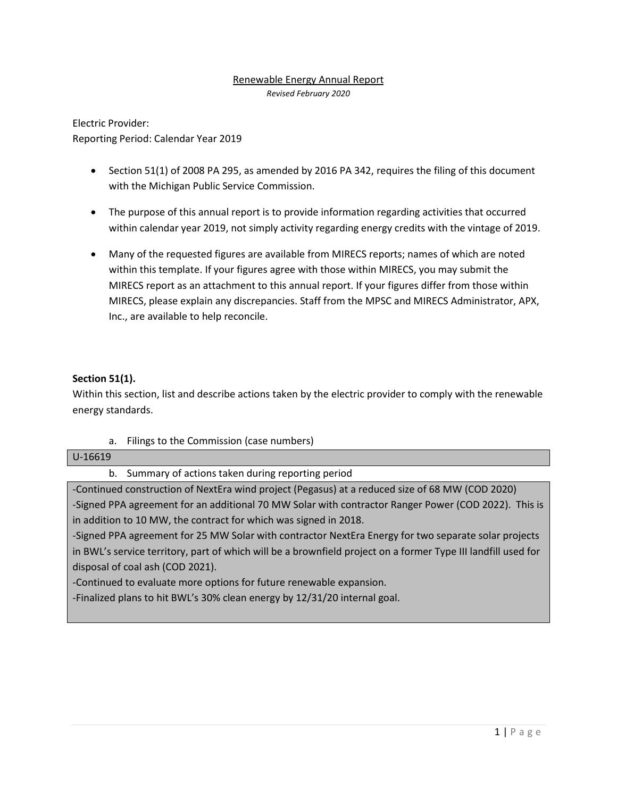### Renewable Energy Annual Report

*Revised February 2020*

Electric Provider: Reporting Period: Calendar Year 2019

- Section 51(1) of 2008 PA 295, as amended by 2016 PA 342, requires the filing of this document with the Michigan Public Service Commission.
- The purpose of this annual report is to provide information regarding activities that occurred within calendar year 2019, not simply activity regarding energy credits with the vintage of 2019.
- Many of the requested figures are available from MIRECS reports; names of which are noted within this template. If your figures agree with those within MIRECS, you may submit the MIRECS report as an attachment to this annual report. If your figures differ from those within MIRECS, please explain any discrepancies. Staff from the MPSC and MIRECS Administrator, APX, Inc., are available to help reconcile.

### **Section 51(1).**

Within this section, list and describe actions taken by the electric provider to comply with the renewable energy standards.

a. Filings to the Commission (case numbers)

#### U-16619

b. Summary of actions taken during reporting period

-Continued construction of NextEra wind project (Pegasus) at a reduced size of 68 MW (COD 2020) -Signed PPA agreement for an additional 70 MW Solar with contractor Ranger Power (COD 2022). This is in addition to 10 MW, the contract for which was signed in 2018.

-Signed PPA agreement for 25 MW Solar with contractor NextEra Energy for two separate solar projects in BWL's service territory, part of which will be a brownfield project on a former Type III landfill used for disposal of coal ash (COD 2021).

-Continued to evaluate more options for future renewable expansion.

-Finalized plans to hit BWL's 30% clean energy by 12/31/20 internal goal.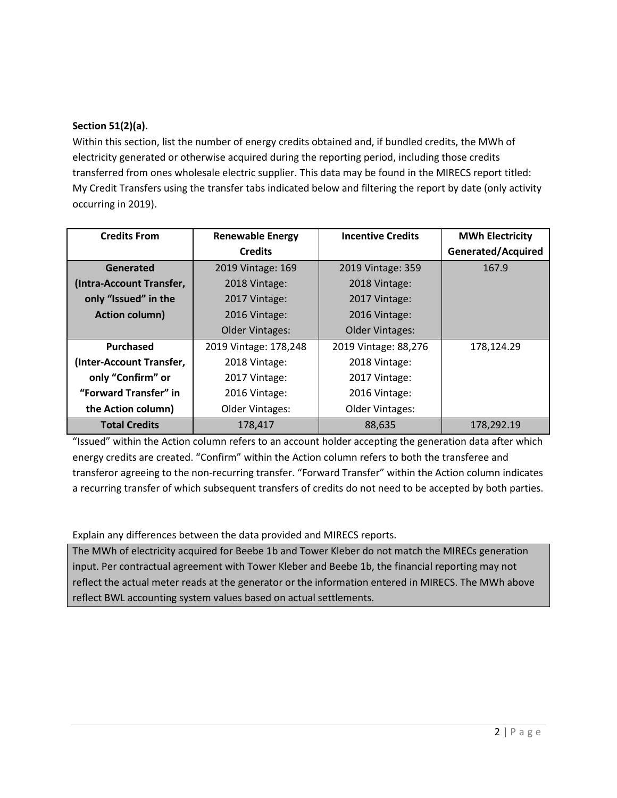## **Section 51(2)(a).**

Within this section, list the number of energy credits obtained and, if bundled credits, the MWh of electricity generated or otherwise acquired during the reporting period, including those credits transferred from ones wholesale electric supplier. This data may be found in the MIRECS report titled: My Credit Transfers using the transfer tabs indicated below and filtering the report by date (only activity occurring in 2019).

| <b>Credits From</b>      | <b>Renewable Energy</b> | <b>Incentive Credits</b> | <b>MWh Electricity</b> |
|--------------------------|-------------------------|--------------------------|------------------------|
|                          | <b>Credits</b>          |                          | Generated/Acquired     |
| Generated                | 2019 Vintage: 169       | 2019 Vintage: 359        | 167.9                  |
| (Intra-Account Transfer, | 2018 Vintage:           | 2018 Vintage:            |                        |
| only "Issued" in the     | 2017 Vintage:           | 2017 Vintage:            |                        |
| <b>Action column)</b>    | 2016 Vintage:           | 2016 Vintage:            |                        |
|                          | <b>Older Vintages:</b>  | <b>Older Vintages:</b>   |                        |
| Purchased                | 2019 Vintage: 178,248   | 2019 Vintage: 88,276     | 178,124.29             |
| (Inter-Account Transfer, | 2018 Vintage:           | 2018 Vintage:            |                        |
| only "Confirm" or        | 2017 Vintage:           | 2017 Vintage:            |                        |
| "Forward Transfer" in    | 2016 Vintage:           | 2016 Vintage:            |                        |
| the Action column)       | <b>Older Vintages:</b>  | <b>Older Vintages:</b>   |                        |
| <b>Total Credits</b>     | 178,417                 | 88,635                   | 178,292.19             |

"Issued" within the Action column refers to an account holder accepting the generation data after which energy credits are created. "Confirm" within the Action column refers to both the transferee and transferor agreeing to the non-recurring transfer. "Forward Transfer" within the Action column indicates a recurring transfer of which subsequent transfers of credits do not need to be accepted by both parties.

Explain any differences between the data provided and MIRECS reports.

The MWh of electricity acquired for Beebe 1b and Tower Kleber do not match the MIRECs generation input. Per contractual agreement with Tower Kleber and Beebe 1b, the financial reporting may not reflect the actual meter reads at the generator or the information entered in MIRECS. The MWh above reflect BWL accounting system values based on actual settlements.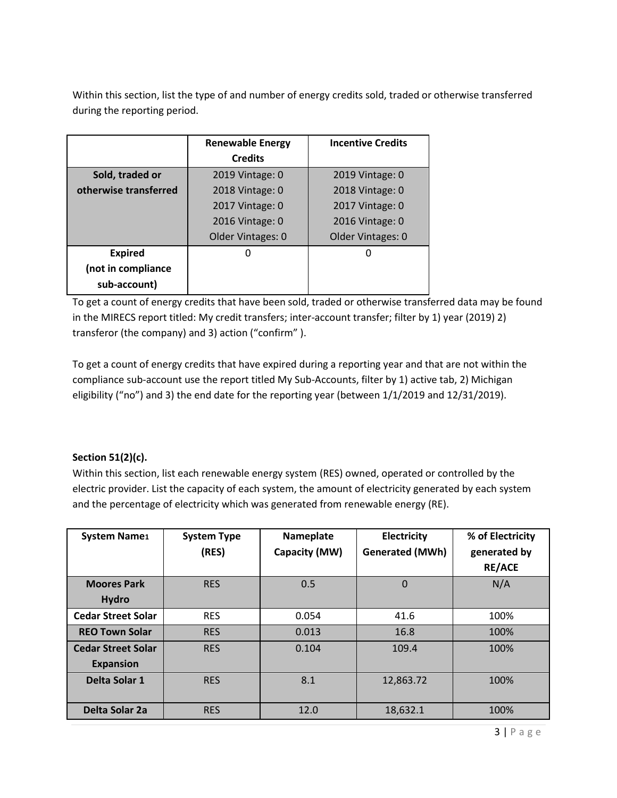Within this section, list the type of and number of energy credits sold, traded or otherwise transferred during the reporting period.

|                       | <b>Renewable Energy</b> | <b>Incentive Credits</b> |
|-----------------------|-------------------------|--------------------------|
|                       | <b>Credits</b>          |                          |
| Sold, traded or       | 2019 Vintage: 0         | 2019 Vintage: 0          |
| otherwise transferred | 2018 Vintage: 0         | 2018 Vintage: 0          |
|                       | 2017 Vintage: 0         | 2017 Vintage: 0          |
|                       | 2016 Vintage: 0         | 2016 Vintage: 0          |
|                       | Older Vintages: 0       | Older Vintages: 0        |
| <b>Expired</b>        | N                       | 0                        |
| (not in compliance    |                         |                          |
| sub-account)          |                         |                          |

To get a count of energy credits that have been sold, traded or otherwise transferred data may be found in the MIRECS report titled: My credit transfers; inter-account transfer; filter by 1) year (2019) 2) transferor (the company) and 3) action ("confirm" ).

To get a count of energy credits that have expired during a reporting year and that are not within the compliance sub-account use the report titled My Sub-Accounts, filter by 1) active tab, 2) Michigan eligibility ("no") and 3) the end date for the reporting year (between 1/1/2019 and 12/31/2019).

# **Section 51(2)(c).**

Within this section, list each renewable energy system (RES) owned, operated or controlled by the electric provider. List the capacity of each system, the amount of electricity generated by each system and the percentage of electricity which was generated from renewable energy (RE).

| <b>System Name1</b>       | <b>System Type</b> | Nameplate     | Electricity            | % of Electricity |
|---------------------------|--------------------|---------------|------------------------|------------------|
|                           | (RES)              | Capacity (MW) | <b>Generated (MWh)</b> | generated by     |
|                           |                    |               |                        | <b>RE/ACE</b>    |
| <b>Moores Park</b>        | <b>RES</b>         | 0.5           | $\Omega$               | N/A              |
| <b>Hydro</b>              |                    |               |                        |                  |
| <b>Cedar Street Solar</b> | <b>RES</b>         | 0.054         | 41.6                   | 100%             |
| <b>REO Town Solar</b>     | <b>RES</b>         | 0.013         | 16.8                   | 100%             |
| <b>Cedar Street Solar</b> | <b>RES</b>         | 0.104         | 109.4                  | 100%             |
| <b>Expansion</b>          |                    |               |                        |                  |
| Delta Solar 1             | <b>RES</b>         | 8.1           | 12,863.72              | 100%             |
|                           |                    |               |                        |                  |
| Delta Solar 2a            | <b>RES</b>         | 12.0          | 18,632.1               | 100%             |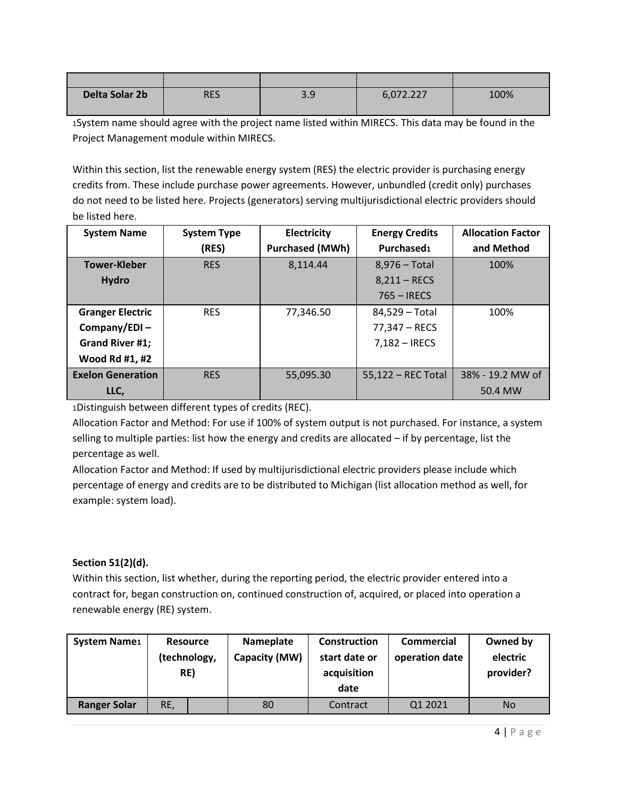| Delta Solar 2b | RES | ວ ດ<br>J.J | 6,072.227 | 100% |
|----------------|-----|------------|-----------|------|

1System name should agree with the project name listed within MIRECS. This data may be found in the Project Management module within MIRECS.

Within this section, list the renewable energy system (RES) the electric provider is purchasing energy credits from. These include purchase power agreements. However, unbundled (credit only) purchases do not need to be listed here. Projects (generators) serving multijurisdictional electric providers should be listed here.

| <b>System Name</b>       | <b>System Type</b> | Electricity            | <b>Energy Credits</b> | <b>Allocation Factor</b> |
|--------------------------|--------------------|------------------------|-----------------------|--------------------------|
|                          | (RES)              | <b>Purchased (MWh)</b> | Purchased1            | and Method               |
| <b>Tower-Kleber</b>      | <b>RES</b>         | 8,114.44               | $8,976$ – Total       | 100%                     |
| <b>Hydro</b>             |                    |                        | $8,211 - RECS$        |                          |
|                          |                    |                        | $765 - IRECS$         |                          |
| <b>Granger Electric</b>  | <b>RES</b>         | 77,346.50              | 84,529 – Total        | 100%                     |
| Company/EDI $-$          |                    |                        | 77,347 – RECS         |                          |
| Grand River #1;          |                    |                        | $7,182 - IRECS$       |                          |
| Wood Rd #1, #2           |                    |                        |                       |                          |
| <b>Exelon Generation</b> | <b>RES</b>         | 55,095.30              | 55,122 - REC Total    | 38% - 19.2 MW of         |
| LLC,                     |                    |                        |                       | 50.4 MW                  |

1Distinguish between different types of credits (REC).

Allocation Factor and Method: For use if 100% of system output is not purchased. For instance, a system selling to multiple parties: list how the energy and credits are allocated – if by percentage, list the percentage as well.

Allocation Factor and Method: If used by multijurisdictional electric providers please include which percentage of energy and credits are to be distributed to Michigan (list allocation method as well, for example: system load).

## **Section 51(2)(d).**

Within this section, list whether, during the reporting period, the electric provider entered into a contract for, began construction on, continued construction of, acquired, or placed into operation a renewable energy (RE) system.

| <b>System Name1</b> | <b>Resource</b><br>(technology,<br>RE) | Nameplate<br>Capacity (MW) | <b>Construction</b><br>start date or<br>acquisition<br>date | <b>Commercial</b><br>operation date | Owned by<br>electric<br>provider? |
|---------------------|----------------------------------------|----------------------------|-------------------------------------------------------------|-------------------------------------|-----------------------------------|
| <b>Ranger Solar</b> | RE,                                    | 80                         | Contract                                                    | Q1 2021                             | No                                |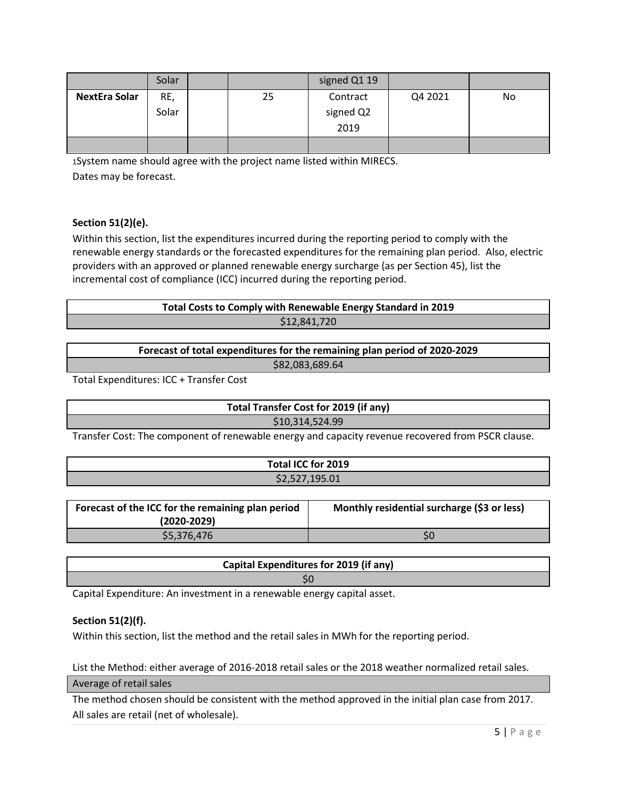|                      | Solar |    | signed Q1 19 |         |    |
|----------------------|-------|----|--------------|---------|----|
| <b>NextEra Solar</b> | RE,   | 25 | Contract     | Q4 2021 | No |
|                      | Solar |    | signed Q2    |         |    |
|                      |       |    | 2019         |         |    |
|                      |       |    |              |         |    |

1System name should agree with the project name listed within MIRECS. Dates may be forecast.

### **Section 51(2)(e).**

Within this section, list the expenditures incurred during the reporting period to comply with the renewable energy standards or the forecasted expenditures for the remaining plan period. Also, electric providers with an approved or planned renewable energy surcharge (as per Section 45), list the incremental cost of compliance (ICC) incurred during the reporting period.

# **Total Costs to Comply with Renewable Energy Standard in 2019** \$12,841,720

**Forecast of total expenditures for the remaining plan period of 2020-2029**

\$82,083,689.64

Total Expenditures: ICC + Transfer Cost

**Total Transfer Cost for 2019 (if any)** \$10,314,524.99

Transfer Cost: The component of renewable energy and capacity revenue recovered from PSCR clause.

| Total ICC for 2019 |  |
|--------------------|--|
| \$2,527,195.01     |  |

| Forecast of the ICC for the remaining plan period<br>$(2020 - 2029)$ | Monthly residential surcharge (\$3 or less) |  |
|----------------------------------------------------------------------|---------------------------------------------|--|
| \$5,376,476                                                          | S0                                          |  |

| Capital Expenditures for 2019 (if any) |  |
|----------------------------------------|--|
|                                        |  |
|                                        |  |

Capital Expenditure: An investment in a renewable energy capital asset.

#### **Section 51(2)(f).**

Within this section, list the method and the retail sales in MWh for the reporting period.

List the Method: either average of 2016-2018 retail sales or the 2018 weather normalized retail sales. Average of retail sales

The method chosen should be consistent with the method approved in the initial plan case from 2017. All sales are retail (net of wholesale).